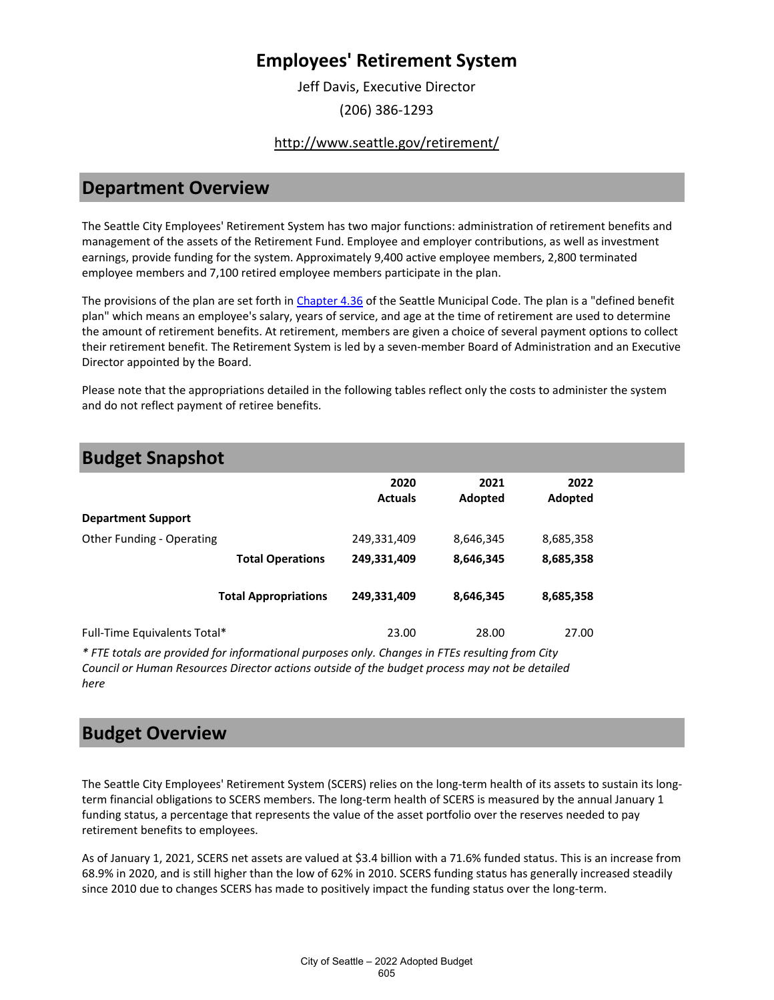Jeff Davis, Executive Director (206) 386-1293

### <http://www.seattle.gov/retirement/>

## **Department Overview**

The Seattle City Employees' Retirement System has two major functions: administration of retirement benefits and management of the assets of the Retirement Fund. Employee and employer contributions, as well as investment earnings, provide funding for the system. Approximately 9,400 active employee members, 2,800 terminated employee members and 7,100 retired employee members participate in the plan.

The provisions of the plan are set forth in [Chapter 4.36](https://library.municode.com/wa/seattle/codes/municipal_code?nodeId) of the Seattle Municipal Code. The plan is a "defined benefit plan" which means an employee's salary, years of service, and age at the time of retirement are used to determine the amount of retirement benefits. At retirement, members are given a choice of several payment options to collect their retirement benefit. The Retirement System is led by a seven-member Board of Administration and an Executive Director appointed by the Board.

Please note that the appropriations detailed in the following tables reflect only the costs to administer the system and do not reflect payment of retiree benefits.

| <b>Budget Snapshot</b>       |                             |                        |                 |                 |
|------------------------------|-----------------------------|------------------------|-----------------|-----------------|
|                              |                             | 2020<br><b>Actuals</b> | 2021<br>Adopted | 2022<br>Adopted |
| <b>Department Support</b>    |                             |                        |                 |                 |
| Other Funding - Operating    |                             | 249,331,409            | 8,646,345       | 8,685,358       |
|                              | <b>Total Operations</b>     | 249,331,409            | 8,646,345       | 8,685,358       |
|                              | <b>Total Appropriations</b> | 249,331,409            | 8,646,345       | 8,685,358       |
| Full-Time Equivalents Total* |                             | 23.00                  | 28.00           | 27.00           |

*\* FTE totals are provided for informational purposes only. Changes in FTEs resulting from City Council or Human Resources Director actions outside of the budget process may not be detailed here*

## **Budget Overview**

The Seattle City Employees' Retirement System (SCERS) relies on the long-term health of its assets to sustain its longterm financial obligations to SCERS members. The long-term health of SCERS is measured by the annual January 1 funding status, a percentage that represents the value of the asset portfolio over the reserves needed to pay retirement benefits to employees.

As of January 1, 2021, SCERS net assets are valued at \$3.4 billion with a 71.6% funded status. This is an increase from 68.9% in 2020, and is still higher than the low of 62% in 2010. SCERS funding status has generally increased steadily since 2010 due to changes SCERS has made to positively impact the funding status over the long-term.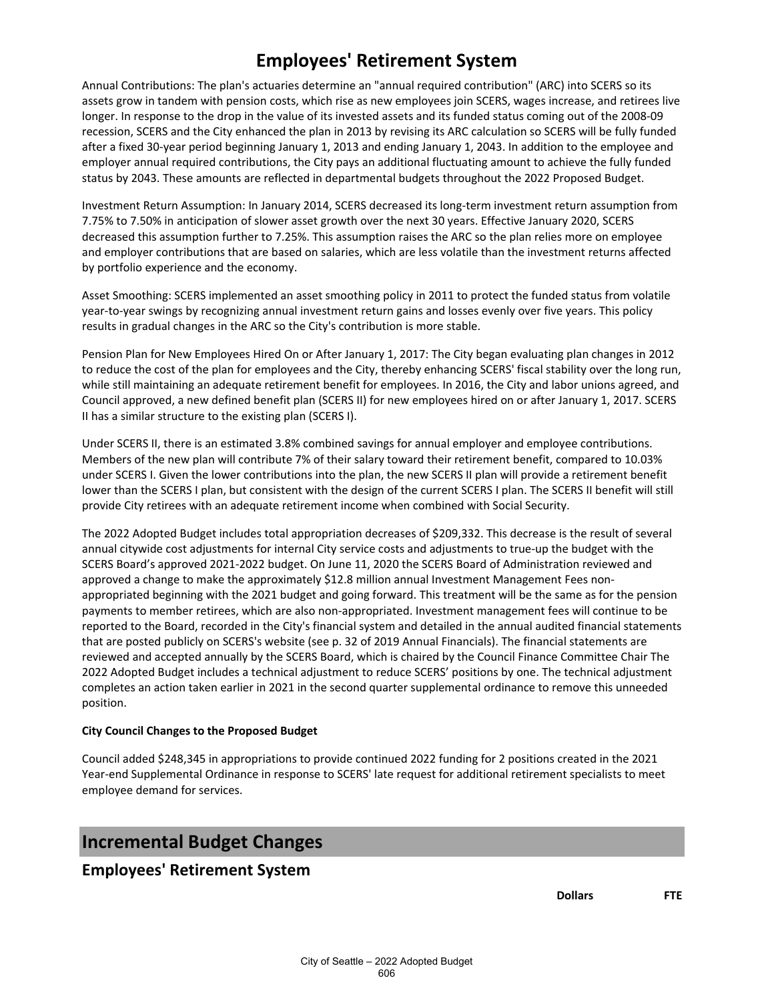Annual Contributions: The plan's actuaries determine an "annual required contribution" (ARC) into SCERS so its assets grow in tandem with pension costs, which rise as new employees join SCERS, wages increase, and retirees live longer. In response to the drop in the value of its invested assets and its funded status coming out of the 2008-09 recession, SCERS and the City enhanced the plan in 2013 by revising its ARC calculation so SCERS will be fully funded after a fixed 30-year period beginning January 1, 2013 and ending January 1, 2043. In addition to the employee and employer annual required contributions, the City pays an additional fluctuating amount to achieve the fully funded status by 2043. These amounts are reflected in departmental budgets throughout the 2022 Proposed Budget.

Investment Return Assumption: In January 2014, SCERS decreased its long-term investment return assumption from 7.75% to 7.50% in anticipation of slower asset growth over the next 30 years. Effective January 2020, SCERS decreased this assumption further to 7.25%. This assumption raises the ARC so the plan relies more on employee and employer contributions that are based on salaries, which are less volatile than the investment returns affected by portfolio experience and the economy.

Asset Smoothing: SCERS implemented an asset smoothing policy in 2011 to protect the funded status from volatile year-to-year swings by recognizing annual investment return gains and losses evenly over five years. This policy results in gradual changes in the ARC so the City's contribution is more stable.

Pension Plan for New Employees Hired On or After January 1, 2017: The City began evaluating plan changes in 2012 to reduce the cost of the plan for employees and the City, thereby enhancing SCERS' fiscal stability over the long run, while still maintaining an adequate retirement benefit for employees. In 2016, the City and labor unions agreed, and Council approved, a new defined benefit plan (SCERS II) for new employees hired on or after January 1, 2017. SCERS II has a similar structure to the existing plan (SCERS I).

Under SCERS II, there is an estimated 3.8% combined savings for annual employer and employee contributions. Members of the new plan will contribute 7% of their salary toward their retirement benefit, compared to 10.03% under SCERS I. Given the lower contributions into the plan, the new SCERS II plan will provide a retirement benefit lower than the SCERS I plan, but consistent with the design of the current SCERS I plan. The SCERS II benefit will still provide City retirees with an adequate retirement income when combined with Social Security.

The 2022 Adopted Budget includes total appropriation decreases of \$209,332. This decrease is the result of several annual citywide cost adjustments for internal City service costs and adjustments to true-up the budget with the SCERS Board's approved 2021-2022 budget. On June 11, 2020 the SCERS Board of Administration reviewed and approved a change to make the approximately \$12.8 million annual Investment Management Fees nonappropriated beginning with the 2021 budget and going forward. This treatment will be the same as for the pension payments to member retirees, which are also non-appropriated. Investment management fees will continue to be reported to the Board, recorded in the City's financial system and detailed in the annual audited financial statements that are posted publicly on SCERS's website (see p. 32 of 2019 Annual Financials). The financial statements are reviewed and accepted annually by the SCERS Board, which is chaired by the Council Finance Committee Chair The 2022 Adopted Budget includes a technical adjustment to reduce SCERS' positions by one. The technical adjustment completes an action taken earlier in 2021 in the second quarter supplemental ordinance to remove this unneeded position.

#### **City Council Changes to the Proposed Budget**

Council added \$248,345 in appropriations to provide continued 2022 funding for 2 positions created in the 2021 Year-end Supplemental Ordinance in response to SCERS' late request for additional retirement specialists to meet employee demand for services.

## **Incremental Budget Changes**

## **Employees' Retirement System**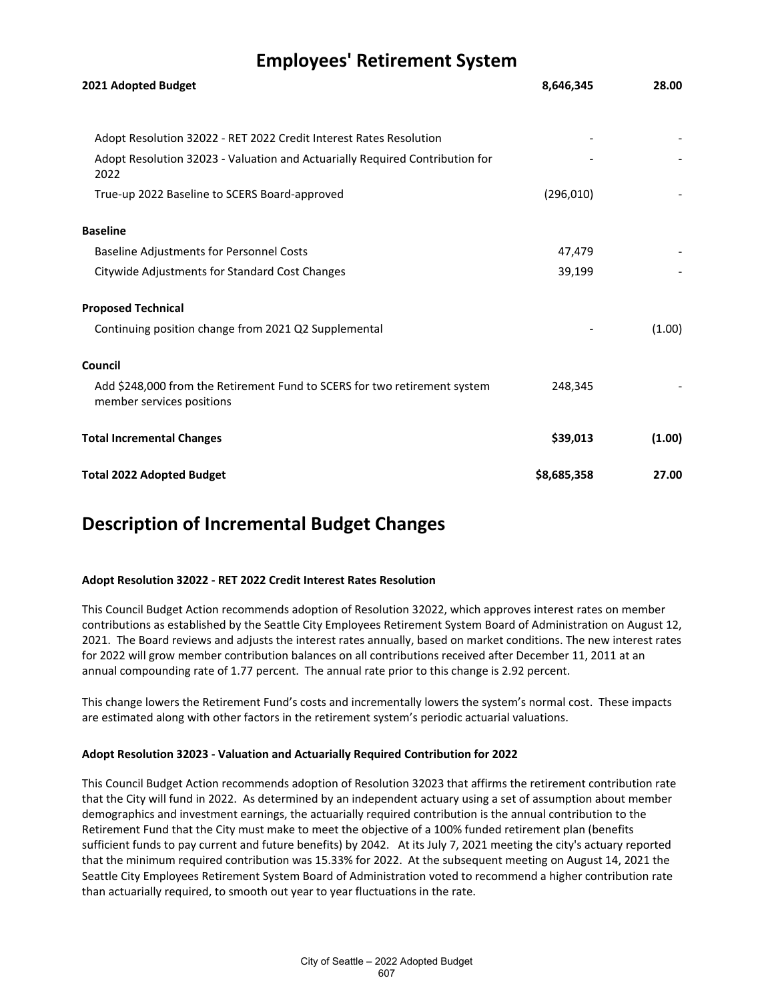| 2021 Adopted Budget                                                                                    | 8,646,345   | 28.00  |
|--------------------------------------------------------------------------------------------------------|-------------|--------|
|                                                                                                        |             |        |
| Adopt Resolution 32022 - RET 2022 Credit Interest Rates Resolution                                     |             |        |
| Adopt Resolution 32023 - Valuation and Actuarially Required Contribution for<br>2022                   |             |        |
| True-up 2022 Baseline to SCERS Board-approved                                                          | (296, 010)  |        |
| <b>Baseline</b>                                                                                        |             |        |
| <b>Baseline Adjustments for Personnel Costs</b>                                                        | 47,479      |        |
| Citywide Adjustments for Standard Cost Changes                                                         | 39,199      |        |
| <b>Proposed Technical</b>                                                                              |             |        |
| Continuing position change from 2021 Q2 Supplemental                                                   |             | (1.00) |
| Council                                                                                                |             |        |
| Add \$248,000 from the Retirement Fund to SCERS for two retirement system<br>member services positions | 248,345     |        |
| <b>Total Incremental Changes</b>                                                                       | \$39,013    | (1.00) |
| <b>Total 2022 Adopted Budget</b>                                                                       | \$8,685,358 | 27.00  |

## **Description of Incremental Budget Changes**

#### **Adopt Resolution 32022 - RET 2022 Credit Interest Rates Resolution**

This Council Budget Action recommends adoption of Resolution 32022, which approves interest rates on member contributions as established by the Seattle City Employees Retirement System Board of Administration on August 12, 2021. The Board reviews and adjusts the interest rates annually, based on market conditions. The new interest rates for 2022 will grow member contribution balances on all contributions received after December 11, 2011 at an annual compounding rate of 1.77 percent. The annual rate prior to this change is 2.92 percent.

This change lowers the Retirement Fund's costs and incrementally lowers the system's normal cost. These impacts are estimated along with other factors in the retirement system's periodic actuarial valuations.

#### **Adopt Resolution 32023 - Valuation and Actuarially Required Contribution for 2022**

This Council Budget Action recommends adoption of Resolution 32023 that affirms the retirement contribution rate that the City will fund in 2022. As determined by an independent actuary using a set of assumption about member demographics and investment earnings, the actuarially required contribution is the annual contribution to the Retirement Fund that the City must make to meet the objective of a 100% funded retirement plan (benefits sufficient funds to pay current and future benefits) by 2042. At its July 7, 2021 meeting the city's actuary reported that the minimum required contribution was 15.33% for 2022. At the subsequent meeting on August 14, 2021 the Seattle City Employees Retirement System Board of Administration voted to recommend a higher contribution rate than actuarially required, to smooth out year to year fluctuations in the rate.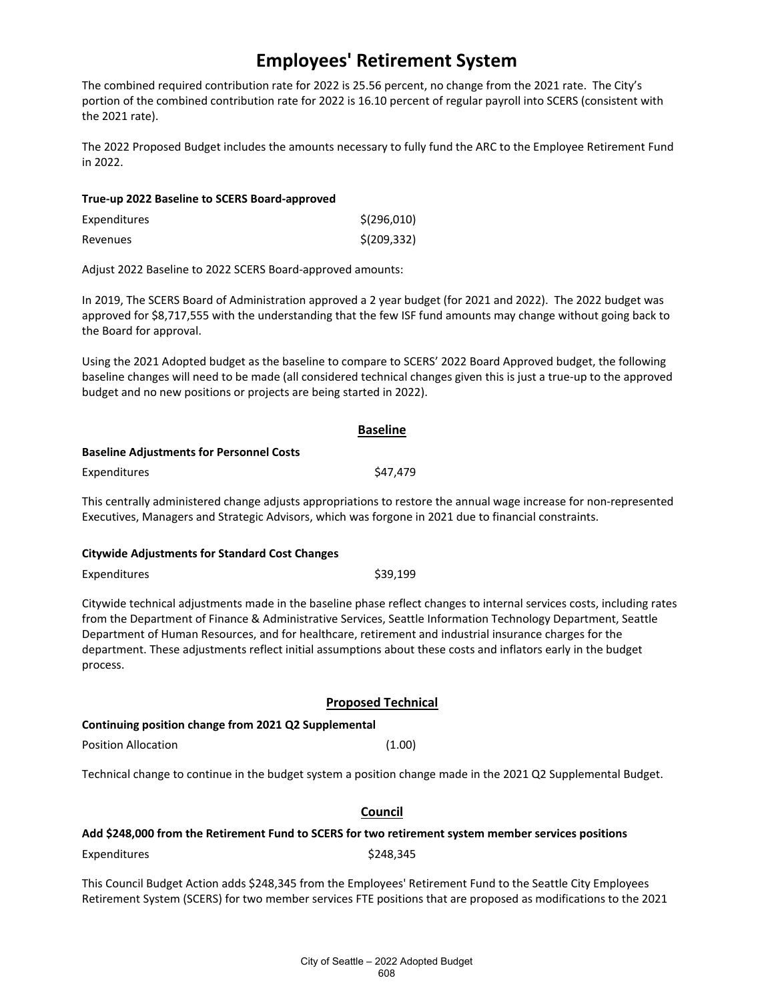The combined required contribution rate for 2022 is 25.56 percent, no change from the 2021 rate. The City's portion of the combined contribution rate for 2022 is 16.10 percent of regular payroll into SCERS (consistent with the 2021 rate).

The 2022 Proposed Budget includes the amounts necessary to fully fund the ARC to the Employee Retirement Fund in 2022.

| True-up 2022 Baseline to SCERS Board-approved |              |
|-----------------------------------------------|--------------|
| Expenditures                                  | \$(296,010)  |
| Revenues                                      | \$(209, 332) |

Adjust 2022 Baseline to 2022 SCERS Board-approved amounts:

In 2019, The SCERS Board of Administration approved a 2 year budget (for 2021 and 2022). The 2022 budget was approved for \$8,717,555 with the understanding that the few ISF fund amounts may change without going back to the Board for approval.

Using the 2021 Adopted budget as the baseline to compare to SCERS' 2022 Board Approved budget, the following baseline changes will need to be made (all considered technical changes given this is just a true-up to the approved budget and no new positions or projects are being started in 2022).

|                                                 | <b>Baseline</b> |
|-------------------------------------------------|-----------------|
| <b>Baseline Adjustments for Personnel Costs</b> |                 |
| Expenditures                                    | \$47.479        |
|                                                 |                 |

This centrally administered change adjusts appropriations to restore the annual wage increase for non-represented Executives, Managers and Strategic Advisors, which was forgone in 2021 due to financial constraints.

#### **Citywide Adjustments for Standard Cost Changes**

Expenditures \$39,199

Citywide technical adjustments made in the baseline phase reflect changes to internal services costs, including rates from the Department of Finance & Administrative Services, Seattle Information Technology Department, Seattle Department of Human Resources, and for healthcare, retirement and industrial insurance charges for the department. These adjustments reflect initial assumptions about these costs and inflators early in the budget process.

#### **Proposed Technical**

#### **Continuing position change from 2021 Q2 Supplemental**

Position Allocation (1.00)

Technical change to continue in the budget system a position change made in the 2021 Q2 Supplemental Budget.

#### **Council**

#### **Add \$248,000 from the Retirement Fund to SCERS for two retirement system member services positions**

Expenditures \$248,345

This Council Budget Action adds \$248,345 from the Employees' Retirement Fund to the Seattle City Employees Retirement System (SCERS) for two member services FTE positions that are proposed as modifications to the 2021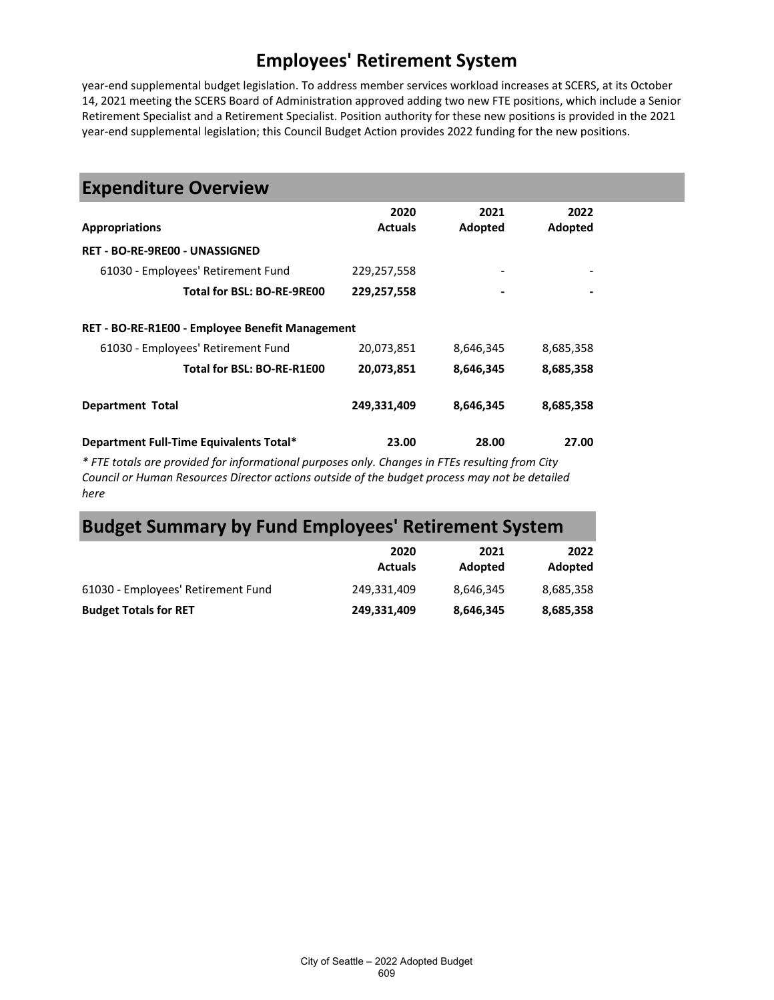year-end supplemental budget legislation. To address member services workload increases at SCERS, at its October 14, 2021 meeting the SCERS Board of Administration approved adding two new FTE positions, which include a Senior Retirement Specialist and a Retirement Specialist. Position authority for these new positions is provided in the 2021 year-end supplemental legislation; this Council Budget Action provides 2022 funding for the new positions.

| <b>Expenditure Overview</b>                                                                      |                |                |           |
|--------------------------------------------------------------------------------------------------|----------------|----------------|-----------|
|                                                                                                  | 2020           | 2021           | 2022      |
| <b>Appropriations</b>                                                                            | <b>Actuals</b> | Adopted        | Adopted   |
| <b>RET - BO-RE-9RE00 - UNASSIGNED</b>                                                            |                |                |           |
| 61030 - Employees' Retirement Fund                                                               | 229,257,558    |                |           |
| Total for BSL: BO-RE-9RE00                                                                       | 229,257,558    | $\blacksquare$ |           |
| RET - BO-RE-R1E00 - Employee Benefit Management                                                  |                |                |           |
| 61030 - Employees' Retirement Fund                                                               | 20,073,851     | 8,646,345      | 8,685,358 |
| Total for BSL: BO-RE-R1E00                                                                       | 20,073,851     | 8,646,345      | 8,685,358 |
| <b>Department Total</b>                                                                          | 249,331,409    | 8,646,345      | 8,685,358 |
| Department Full-Time Equivalents Total*                                                          | 23.00          | 28.00          | 27.00     |
| * FTE totals are provided for informational purposes only. Changes in FTEs resulting from City * |                |                |           |

*\* FTE totals are provided for informational purposes only. Changes in FTEs resulting from City Council or Human Resources Director actions outside of the budget process may not be detailed here*

# **Budget Summary by Fund Employees' Retirement System**

|                                    | 2020<br><b>Actuals</b> | 2021<br>Adopted | 2022<br>Adopted |
|------------------------------------|------------------------|-----------------|-----------------|
| 61030 - Employees' Retirement Fund | 249.331.409            | 8.646.345       | 8,685,358       |
| <b>Budget Totals for RET</b>       | 249.331.409            | 8.646.345       | 8,685,358       |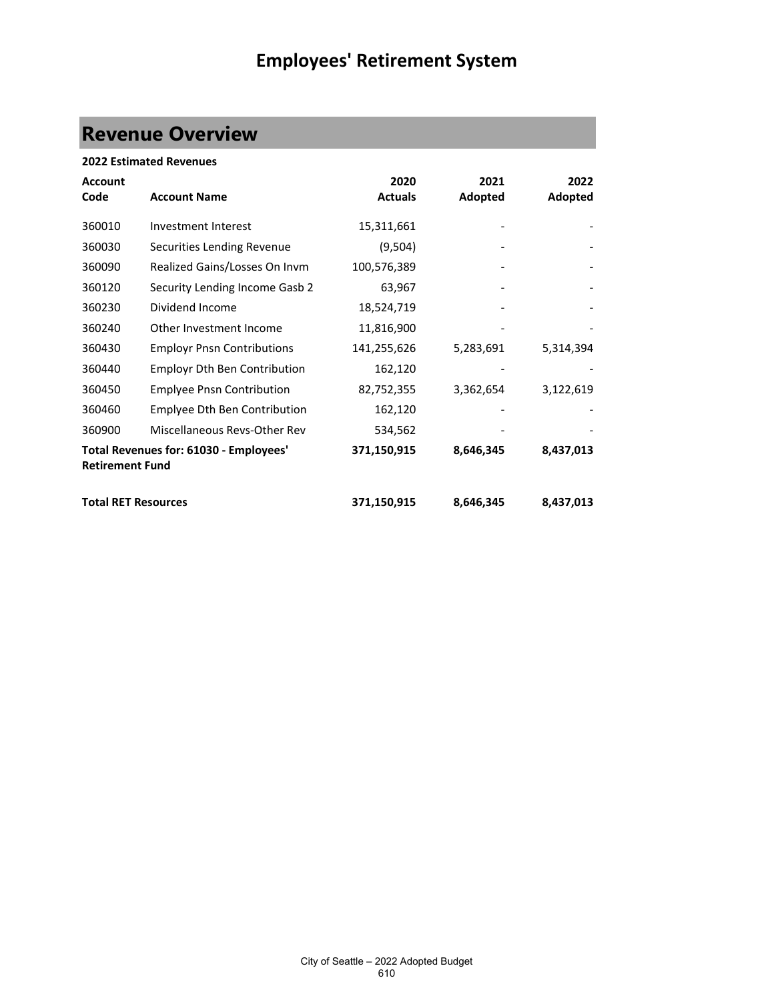# **Revenue Overview**

| <b>2022 Estimated Revenues</b> |                                        |                |           |           |  |
|--------------------------------|----------------------------------------|----------------|-----------|-----------|--|
| <b>Account</b>                 |                                        | 2020           | 2021      | 2022      |  |
| Code                           | <b>Account Name</b>                    | <b>Actuals</b> | Adopted   | Adopted   |  |
| 360010                         | Investment Interest                    | 15,311,661     |           |           |  |
| 360030                         | Securities Lending Revenue             | (9,504)        |           |           |  |
| 360090                         | Realized Gains/Losses On Invm          | 100,576,389    |           |           |  |
| 360120                         | Security Lending Income Gasb 2         | 63,967         |           |           |  |
| 360230                         | Dividend Income                        | 18,524,719     |           |           |  |
| 360240                         | Other Investment Income                | 11,816,900     |           |           |  |
| 360430                         | <b>Employr Pnsn Contributions</b>      | 141,255,626    | 5,283,691 | 5,314,394 |  |
| 360440                         | <b>Employr Dth Ben Contribution</b>    | 162,120        |           |           |  |
| 360450                         | <b>Emplyee Pnsn Contribution</b>       | 82,752,355     | 3,362,654 | 3,122,619 |  |
| 360460                         | Emplyee Dth Ben Contribution           | 162,120        |           |           |  |
| 360900                         | Miscellaneous Revs-Other Rev           | 534,562        |           |           |  |
| <b>Retirement Fund</b>         | Total Revenues for: 61030 - Employees' | 371,150,915    | 8,646,345 | 8,437,013 |  |
| <b>Total RET Resources</b>     |                                        | 371,150,915    | 8,646,345 | 8,437,013 |  |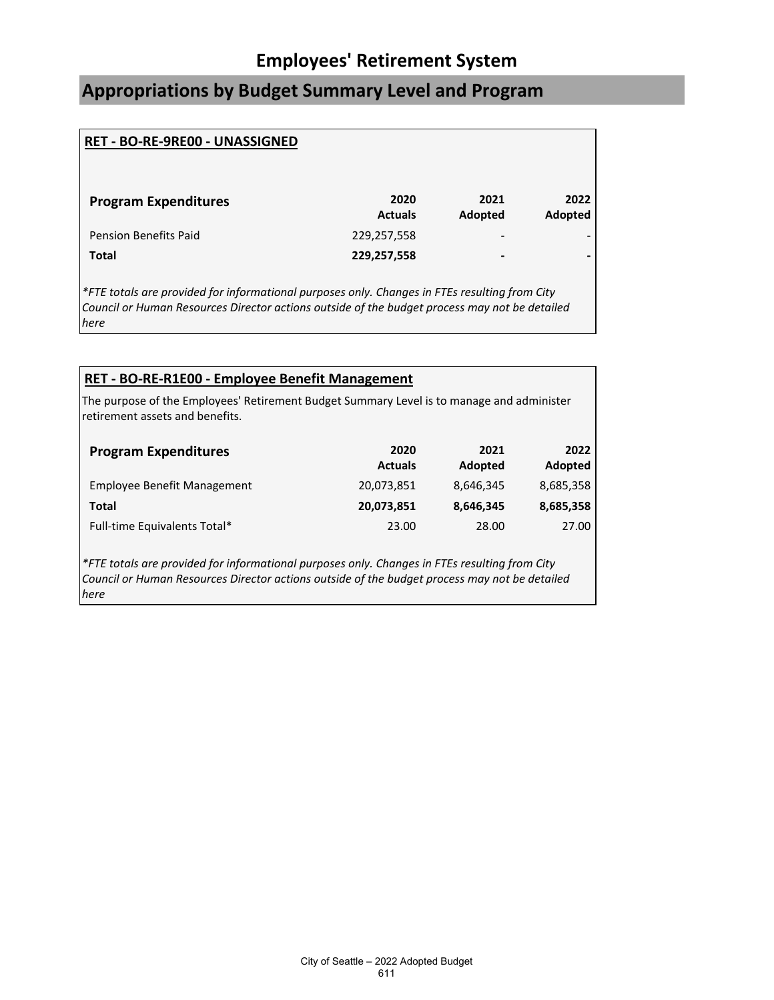# **Appropriations by Budget Summary Level and Program**

| RET - BO-RE-9RE00 - UNASSIGNED |                        |                          |                 |
|--------------------------------|------------------------|--------------------------|-----------------|
| <b>Program Expenditures</b>    | 2020<br><b>Actuals</b> | 2021<br>Adopted          | 2022<br>Adopted |
| <b>Pension Benefits Paid</b>   | 229,257,558            | $\overline{\phantom{0}}$ |                 |
| <b>Total</b>                   | 229,257,558            | -                        |                 |
|                                |                        |                          |                 |

*\*FTE totals are provided for informational purposes only. Changes in FTEs resulting from City Council or Human Resources Director actions outside of the budget process may not be detailed here*

### **RET - BO-RE-R1E00 - Employee Benefit Management**

The purpose of the Employees' Retirement Budget Summary Level is to manage and administer retirement assets and benefits.

| <b>Program Expenditures</b>        | 2020<br><b>Actuals</b> | 2021<br>Adopted | 2022<br>Adopted |
|------------------------------------|------------------------|-----------------|-----------------|
| <b>Employee Benefit Management</b> | 20,073,851             | 8,646,345       | 8,685,358       |
| Total                              | 20,073,851             | 8,646,345       | 8,685,358       |
| Full-time Equivalents Total*       | 23.00                  | 28.00           | 27.00           |

*\*FTE totals are provided for informational purposes only. Changes in FTEs resulting from City Council or Human Resources Director actions outside of the budget process may not be detailed here*